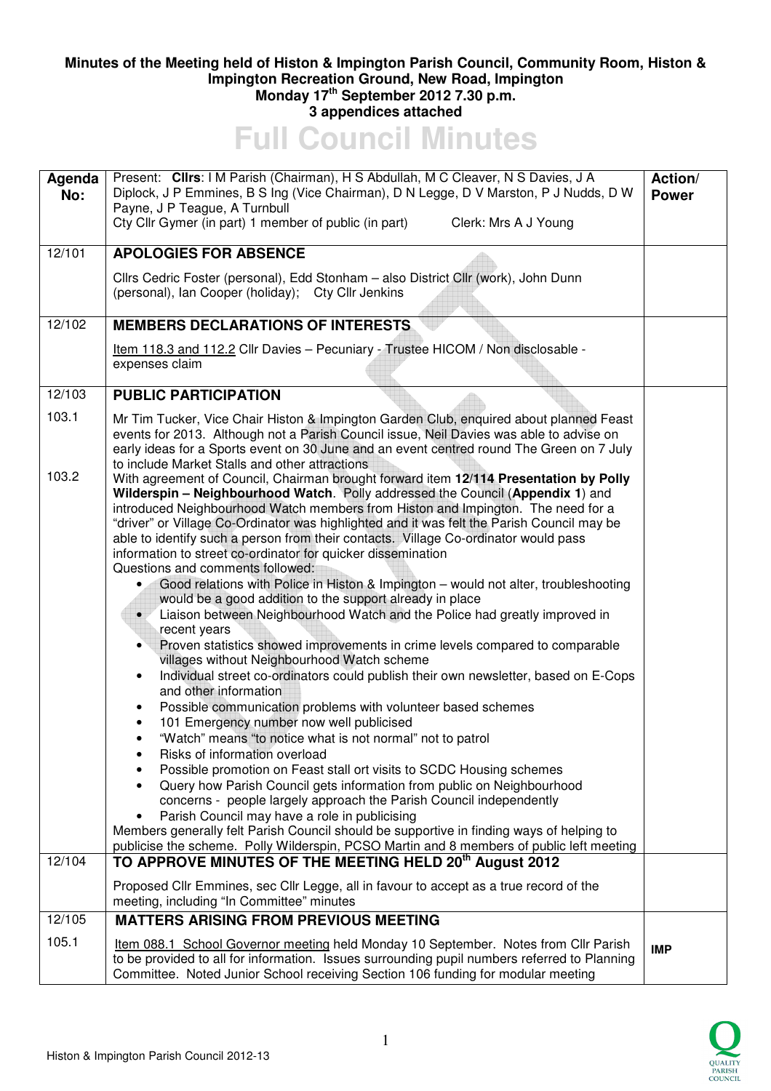## **Minutes of the Meeting held of Histon & Impington Parish Council, Community Room, Histon & Impington Recreation Ground, New Road, Impington Monday 17th September 2012 7.30 p.m. 3 appendices attached**



| Agenda<br>No: | Present: Clirs: I M Parish (Chairman), H S Abdullah, M C Cleaver, N S Davies, J A<br>Diplock, J P Emmines, B S Ing (Vice Chairman), D N Legge, D V Marston, P J Nudds, D W<br>Payne, J P Teague, A Turnbull<br>Cty Cllr Gymer (in part) 1 member of public (in part)<br>Clerk: Mrs A J Young                                                                                                                                                                                                                                                                                                                                                                                                                                                                                                                                                                                                                                                                                                                                                                                                                                                                                                                                                                                                                                                                                                                                                                                                                                                                                                                                                                                                                                  | Action/<br><b>Power</b> |
|---------------|-------------------------------------------------------------------------------------------------------------------------------------------------------------------------------------------------------------------------------------------------------------------------------------------------------------------------------------------------------------------------------------------------------------------------------------------------------------------------------------------------------------------------------------------------------------------------------------------------------------------------------------------------------------------------------------------------------------------------------------------------------------------------------------------------------------------------------------------------------------------------------------------------------------------------------------------------------------------------------------------------------------------------------------------------------------------------------------------------------------------------------------------------------------------------------------------------------------------------------------------------------------------------------------------------------------------------------------------------------------------------------------------------------------------------------------------------------------------------------------------------------------------------------------------------------------------------------------------------------------------------------------------------------------------------------------------------------------------------------|-------------------------|
| 12/101        | <b>APOLOGIES FOR ABSENCE</b>                                                                                                                                                                                                                                                                                                                                                                                                                                                                                                                                                                                                                                                                                                                                                                                                                                                                                                                                                                                                                                                                                                                                                                                                                                                                                                                                                                                                                                                                                                                                                                                                                                                                                                  |                         |
|               | Cllrs Cedric Foster (personal), Edd Stonham - also District Cllr (work), John Dunn<br>(personal), Ian Cooper (holiday); Cty Cllr Jenkins                                                                                                                                                                                                                                                                                                                                                                                                                                                                                                                                                                                                                                                                                                                                                                                                                                                                                                                                                                                                                                                                                                                                                                                                                                                                                                                                                                                                                                                                                                                                                                                      |                         |
| 12/102        | <b>MEMBERS DECLARATIONS OF INTERESTS</b>                                                                                                                                                                                                                                                                                                                                                                                                                                                                                                                                                                                                                                                                                                                                                                                                                                                                                                                                                                                                                                                                                                                                                                                                                                                                                                                                                                                                                                                                                                                                                                                                                                                                                      |                         |
|               | Item 118.3 and 112.2 Cllr Davies - Pecuniary - Trustee HICOM / Non disclosable -<br>expenses claim                                                                                                                                                                                                                                                                                                                                                                                                                                                                                                                                                                                                                                                                                                                                                                                                                                                                                                                                                                                                                                                                                                                                                                                                                                                                                                                                                                                                                                                                                                                                                                                                                            |                         |
| 12/103        | <b>PUBLIC PARTICIPATION</b>                                                                                                                                                                                                                                                                                                                                                                                                                                                                                                                                                                                                                                                                                                                                                                                                                                                                                                                                                                                                                                                                                                                                                                                                                                                                                                                                                                                                                                                                                                                                                                                                                                                                                                   |                         |
| 103.1         | Mr Tim Tucker, Vice Chair Histon & Impington Garden Club, enquired about planned Feast<br>events for 2013. Although not a Parish Council issue, Neil Davies was able to advise on<br>early ideas for a Sports event on 30 June and an event centred round The Green on 7 July<br>to include Market Stalls and other attractions                                                                                                                                                                                                                                                                                                                                                                                                                                                                                                                                                                                                                                                                                                                                                                                                                                                                                                                                                                                                                                                                                                                                                                                                                                                                                                                                                                                               |                         |
| 103.2         | With agreement of Council, Chairman brought forward item 12/114 Presentation by Polly<br>Wilderspin - Neighbourhood Watch. Polly addressed the Council (Appendix 1) and<br>introduced Neighbourhood Watch members from Histon and Impington. The need for a<br>"driver" or Village Co-Ordinator was highlighted and it was felt the Parish Council may be<br>able to identify such a person from their contacts. Village Co-ordinator would pass<br>information to street co-ordinator for quicker dissemination<br>Questions and comments followed:<br>Good relations with Police in Histon & Impington - would not alter, troubleshooting<br>$\bullet$<br>would be a good addition to the support already in place<br>Liaison between Neighbourhood Watch and the Police had greatly improved in<br>$\bullet$<br>recent years<br>Proven statistics showed improvements in crime levels compared to comparable<br>$\bullet$<br>villages without Neighbourhood Watch scheme<br>Individual street co-ordinators could publish their own newsletter, based on E-Cops<br>$\bullet$<br>and other information<br>Possible communication problems with volunteer based schemes<br>$\bullet$<br>101 Emergency number now well publicised<br>٠<br>"Watch" means "to notice what is not normal" not to patrol<br>$\bullet$<br>Risks of information overload<br>٠<br>Possible promotion on Feast stall ort visits to SCDC Housing schemes<br>Query how Parish Council gets information from public on Neighbourhood<br>concerns - people largely approach the Parish Council independently<br>Parish Council may have a role in publicising<br>Members generally felt Parish Council should be supportive in finding ways of helping to |                         |
| 12/104        | publicise the scheme. Polly Wilderspin, PCSO Martin and 8 members of public left meeting<br>TO APPROVE MINUTES OF THE MEETING HELD 20 <sup>th</sup> August 2012                                                                                                                                                                                                                                                                                                                                                                                                                                                                                                                                                                                                                                                                                                                                                                                                                                                                                                                                                                                                                                                                                                                                                                                                                                                                                                                                                                                                                                                                                                                                                               |                         |
|               | Proposed CIIr Emmines, sec CIIr Legge, all in favour to accept as a true record of the<br>meeting, including "In Committee" minutes                                                                                                                                                                                                                                                                                                                                                                                                                                                                                                                                                                                                                                                                                                                                                                                                                                                                                                                                                                                                                                                                                                                                                                                                                                                                                                                                                                                                                                                                                                                                                                                           |                         |
| 12/105        | <b>MATTERS ARISING FROM PREVIOUS MEETING</b>                                                                                                                                                                                                                                                                                                                                                                                                                                                                                                                                                                                                                                                                                                                                                                                                                                                                                                                                                                                                                                                                                                                                                                                                                                                                                                                                                                                                                                                                                                                                                                                                                                                                                  |                         |
| 105.1         | Item 088.1 School Governor meeting held Monday 10 September. Notes from Cllr Parish<br>to be provided to all for information. Issues surrounding pupil numbers referred to Planning<br>Committee. Noted Junior School receiving Section 106 funding for modular meeting                                                                                                                                                                                                                                                                                                                                                                                                                                                                                                                                                                                                                                                                                                                                                                                                                                                                                                                                                                                                                                                                                                                                                                                                                                                                                                                                                                                                                                                       | <b>IMP</b>              |

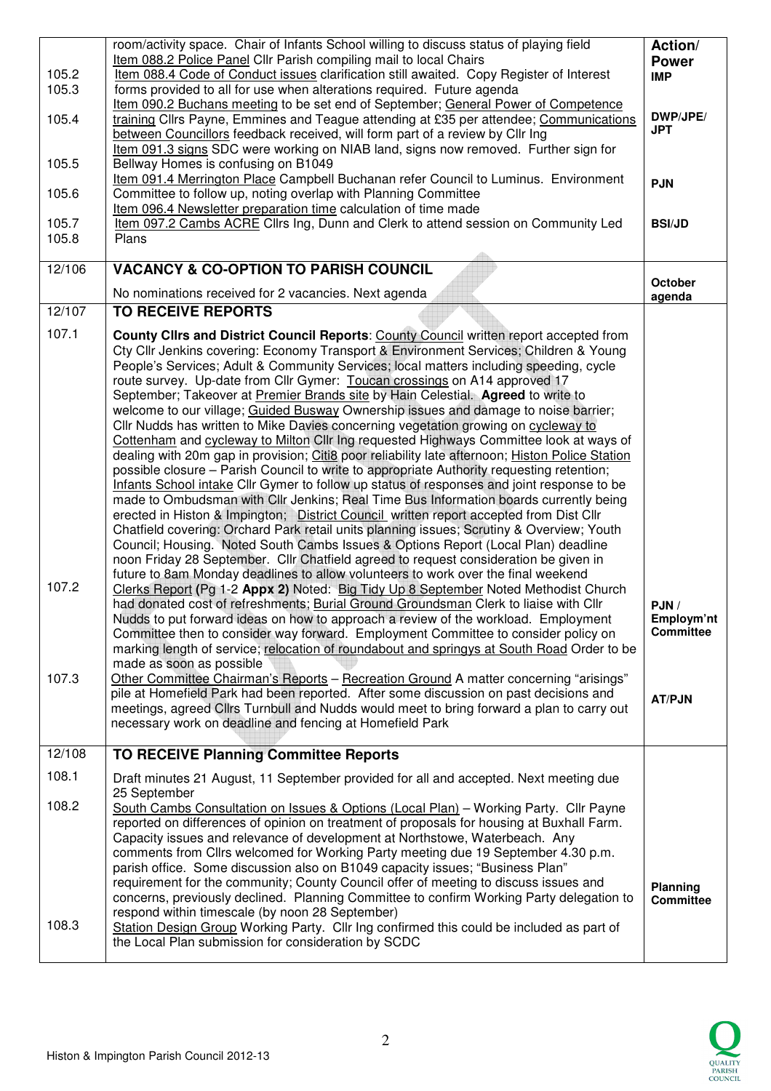|        | room/activity space. Chair of Infants School willing to discuss status of playing field                                                                                                 | Action/                             |
|--------|-----------------------------------------------------------------------------------------------------------------------------------------------------------------------------------------|-------------------------------------|
| 105.2  | Item 088.2 Police Panel Cllr Parish compiling mail to local Chairs<br>Item 088.4 Code of Conduct issues clarification still awaited. Copy Register of Interest                          | <b>Power</b><br><b>IMP</b>          |
| 105.3  | forms provided to all for use when alterations required. Future agenda                                                                                                                  |                                     |
| 105.4  | Item 090.2 Buchans meeting to be set end of September; General Power of Competence<br>training Cllrs Payne, Emmines and Teague attending at £35 per attendee; Communications            | DWP/JPE/                            |
|        | between Councillors feedback received, will form part of a review by Cllr Ing                                                                                                           | <b>JPT</b>                          |
|        | Item 091.3 signs SDC were working on NIAB land, signs now removed. Further sign for                                                                                                     |                                     |
| 105.5  | Bellway Homes is confusing on B1049<br>Item 091.4 Merrington Place Campbell Buchanan refer Council to Luminus. Environment                                                              | <b>PJN</b>                          |
| 105.6  | Committee to follow up, noting overlap with Planning Committee                                                                                                                          |                                     |
| 105.7  | Item 096.4 Newsletter preparation time calculation of time made<br>Item 097.2 Cambs ACRE Cllrs Ing, Dunn and Clerk to attend session on Community Led                                   | <b>BSI/JD</b>                       |
| 105.8  | Plans                                                                                                                                                                                   |                                     |
| 12/106 | <b>VACANCY &amp; CO-OPTION TO PARISH COUNCIL</b>                                                                                                                                        |                                     |
|        |                                                                                                                                                                                         | <b>October</b>                      |
|        | No nominations received for 2 vacancies. Next agenda                                                                                                                                    | agenda                              |
| 12/107 | <b>TO RECEIVE REPORTS</b>                                                                                                                                                               |                                     |
| 107.1  | County Clirs and District Council Reports: County Council written report accepted from<br>Cty Cllr Jenkins covering: Economy Transport & Environment Services; Children & Young         |                                     |
|        | People's Services; Adult & Community Services; local matters including speeding, cycle                                                                                                  |                                     |
|        | route survey. Up-date from Cllr Gymer: Toucan crossings on A14 approved 17                                                                                                              |                                     |
|        | September; Takeover at Premier Brands site by Hain Celestial. Agreed to write to<br>welcome to our village; Guided Busway Ownership issues and damage to noise barrier;                 |                                     |
|        | Cllr Nudds has written to Mike Davies concerning vegetation growing on cycleway to                                                                                                      |                                     |
|        | Cottenham and cycleway to Milton Cllr Ing requested Highways Committee look at ways of                                                                                                  |                                     |
|        | dealing with 20m gap in provision; Citi8 poor reliability late afternoon; Histon Police Station                                                                                         |                                     |
|        | possible closure - Parish Council to write to appropriate Authority requesting retention;<br>Infants School intake Cllr Gymer to follow up status of responses and joint response to be |                                     |
|        | made to Ombudsman with Cllr Jenkins; Real Time Bus Information boards currently being                                                                                                   |                                     |
|        | erected in Histon & Impington; District Council written report accepted from Dist Cllr                                                                                                  |                                     |
|        | Chatfield covering: Orchard Park retail units planning issues; Scrutiny & Overview; Youth<br>Council; Housing. Noted South Cambs Issues & Options Report (Local Plan) deadline          |                                     |
|        | noon Friday 28 September. Cllr Chatfield agreed to request consideration be given in                                                                                                    |                                     |
|        | future to 8am Monday deadlines to allow volunteers to work over the final weekend                                                                                                       |                                     |
| 107.2  | Clerks Report (Pg 1-2 Appx 2) Noted: Big Tidy Up 8 September Noted Methodist Church                                                                                                     |                                     |
|        | had donated cost of refreshments; Burial Ground Groundsman Clerk to liaise with Cllr<br>Nudds to put forward ideas on how to approach a review of the workload. Employment              | PJN/<br>Employm'nt                  |
|        | Committee then to consider way forward. Employment Committee to consider policy on                                                                                                      | <b>Committee</b>                    |
|        | marking length of service; relocation of roundabout and springys at South Road Order to be                                                                                              |                                     |
| 107.3  | made as soon as possible<br>Other Committee Chairman's Reports - Recreation Ground A matter concerning "arisings"                                                                       |                                     |
|        | pile at Homefield Park had been reported. After some discussion on past decisions and                                                                                                   | AT/PJN                              |
|        | meetings, agreed Clirs Turnbull and Nudds would meet to bring forward a plan to carry out                                                                                               |                                     |
|        | necessary work on deadline and fencing at Homefield Park                                                                                                                                |                                     |
| 12/108 | <b>TO RECEIVE Planning Committee Reports</b>                                                                                                                                            |                                     |
| 108.1  | Draft minutes 21 August, 11 September provided for all and accepted. Next meeting due                                                                                                   |                                     |
| 108.2  | 25 September                                                                                                                                                                            |                                     |
|        | South Cambs Consultation on Issues & Options (Local Plan) - Working Party. Cllr Payne<br>reported on differences of opinion on treatment of proposals for housing at Buxhall Farm.      |                                     |
|        | Capacity issues and relevance of development at Northstowe, Waterbeach. Any                                                                                                             |                                     |
|        | comments from Cllrs welcomed for Working Party meeting due 19 September 4.30 p.m.                                                                                                       |                                     |
|        | parish office. Some discussion also on B1049 capacity issues; "Business Plan"<br>requirement for the community; County Council offer of meeting to discuss issues and                   |                                     |
|        | concerns, previously declined. Planning Committee to confirm Working Party delegation to                                                                                                | <b>Planning</b><br><b>Committee</b> |
|        | respond within timescale (by noon 28 September)                                                                                                                                         |                                     |
| 108.3  | Station Design Group Working Party. Cllr Ing confirmed this could be included as part of                                                                                                |                                     |
|        | the Local Plan submission for consideration by SCDC                                                                                                                                     |                                     |

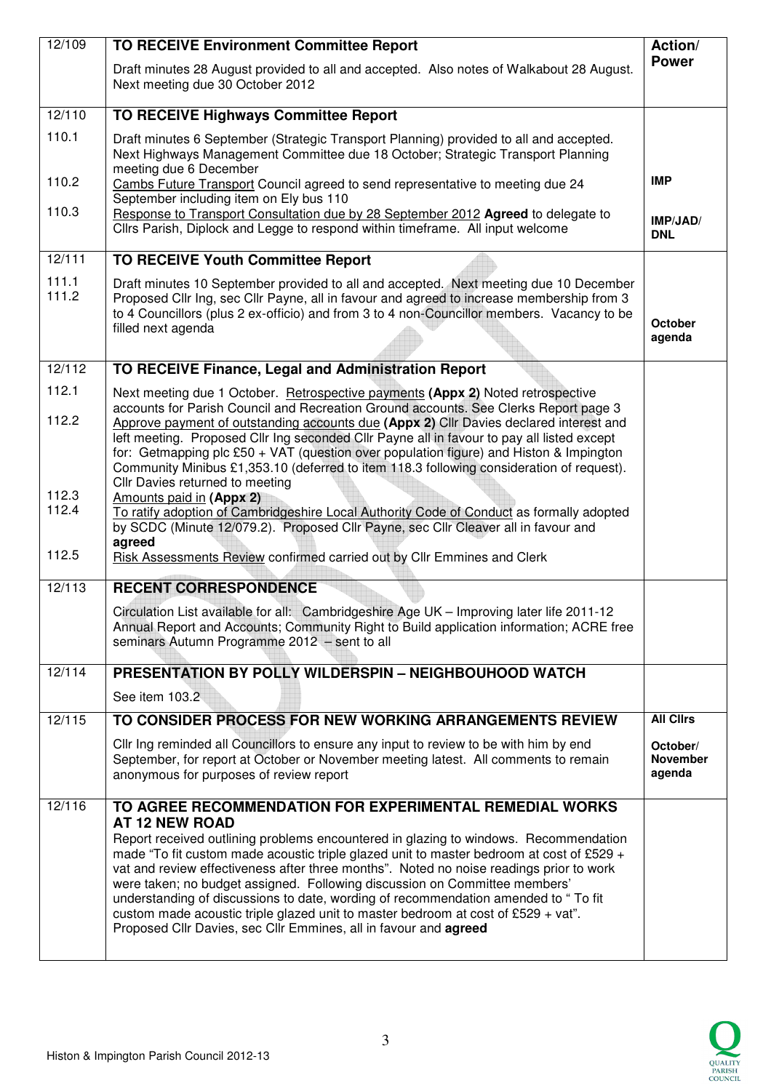| 12/109                  | <b>TO RECEIVE Environment Committee Report</b>                                                                                                                                                                                                                                                                                                                                                                                                                                                                                                                                                                                                                                               | Action/                               |
|-------------------------|----------------------------------------------------------------------------------------------------------------------------------------------------------------------------------------------------------------------------------------------------------------------------------------------------------------------------------------------------------------------------------------------------------------------------------------------------------------------------------------------------------------------------------------------------------------------------------------------------------------------------------------------------------------------------------------------|---------------------------------------|
|                         | Draft minutes 28 August provided to all and accepted. Also notes of Walkabout 28 August.<br>Next meeting due 30 October 2012                                                                                                                                                                                                                                                                                                                                                                                                                                                                                                                                                                 | <b>Power</b>                          |
| 12/110                  | <b>TO RECEIVE Highways Committee Report</b>                                                                                                                                                                                                                                                                                                                                                                                                                                                                                                                                                                                                                                                  |                                       |
| 110.1                   | Draft minutes 6 September (Strategic Transport Planning) provided to all and accepted.<br>Next Highways Management Committee due 18 October; Strategic Transport Planning<br>meeting due 6 December                                                                                                                                                                                                                                                                                                                                                                                                                                                                                          |                                       |
| 110.2                   | Cambs Future Transport Council agreed to send representative to meeting due 24                                                                                                                                                                                                                                                                                                                                                                                                                                                                                                                                                                                                               | <b>IMP</b>                            |
| 110.3                   | September including item on Ely bus 110<br>Response to Transport Consultation due by 28 September 2012 Agreed to delegate to<br>Cllrs Parish, Diplock and Legge to respond within timeframe. All input welcome                                                                                                                                                                                                                                                                                                                                                                                                                                                                               | IMP/JAD/<br><b>DNL</b>                |
| 12/111                  | <b>TO RECEIVE Youth Committee Report</b>                                                                                                                                                                                                                                                                                                                                                                                                                                                                                                                                                                                                                                                     |                                       |
| 111.1<br>111.2          | Draft minutes 10 September provided to all and accepted. Next meeting due 10 December<br>Proposed Cllr Ing, sec Cllr Payne, all in favour and agreed to increase membership from 3<br>to 4 Councillors (plus 2 ex-officio) and from 3 to 4 non-Councillor members. Vacancy to be<br>filled next agenda                                                                                                                                                                                                                                                                                                                                                                                       | October<br>agenda                     |
| 12/112                  | TO RECEIVE Finance, Legal and Administration Report                                                                                                                                                                                                                                                                                                                                                                                                                                                                                                                                                                                                                                          |                                       |
| 112.1                   | Next meeting due 1 October. Retrospective payments (Appx 2) Noted retrospective<br>accounts for Parish Council and Recreation Ground accounts. See Clerks Report page 3                                                                                                                                                                                                                                                                                                                                                                                                                                                                                                                      |                                       |
| 112.2                   | Approve payment of outstanding accounts due (Appx 2) Cllr Davies declared interest and<br>left meeting. Proposed Cllr Ing seconded Cllr Payne all in favour to pay all listed except<br>for: Getmapping plc £50 + VAT (question over population figure) and Histon & Impington<br>Community Minibus £1,353.10 (deferred to item 118.3 following consideration of request).<br>Cllr Davies returned to meeting                                                                                                                                                                                                                                                                                |                                       |
| 112.3<br>112.4<br>112.5 | Amounts paid in (Appx 2)<br>To ratify adoption of Cambridgeshire Local Authority Code of Conduct as formally adopted<br>by SCDC (Minute 12/079.2). Proposed Cllr Payne, sec Cllr Cleaver all in favour and<br>agreed<br>Risk Assessments Review confirmed carried out by Cllr Emmines and Clerk                                                                                                                                                                                                                                                                                                                                                                                              |                                       |
| 12/113                  | <b>RECENT CORRESPONDENCE</b>                                                                                                                                                                                                                                                                                                                                                                                                                                                                                                                                                                                                                                                                 |                                       |
|                         | Circulation List available for all: Cambridgeshire Age UK - Improving later life 2011-12<br>Annual Report and Accounts; Community Right to Build application information; ACRE free<br>seminars Autumn Programme 2012 - sent to all                                                                                                                                                                                                                                                                                                                                                                                                                                                          |                                       |
| 12/114                  | PRESENTATION BY POLLY WILDERSPIN - NEIGHBOUHOOD WATCH                                                                                                                                                                                                                                                                                                                                                                                                                                                                                                                                                                                                                                        |                                       |
|                         | See item 103.2                                                                                                                                                                                                                                                                                                                                                                                                                                                                                                                                                                                                                                                                               |                                       |
| 12/115                  | TO CONSIDER PROCESS FOR NEW WORKING ARRANGEMENTS REVIEW                                                                                                                                                                                                                                                                                                                                                                                                                                                                                                                                                                                                                                      | <b>All Clirs</b>                      |
|                         | CIIr Ing reminded all Councillors to ensure any input to review to be with him by end<br>September, for report at October or November meeting latest. All comments to remain<br>anonymous for purposes of review report                                                                                                                                                                                                                                                                                                                                                                                                                                                                      | October/<br><b>November</b><br>agenda |
| 12/116                  | TO AGREE RECOMMENDATION FOR EXPERIMENTAL REMEDIAL WORKS<br><b>AT 12 NEW ROAD</b><br>Report received outlining problems encountered in glazing to windows. Recommendation<br>made "To fit custom made acoustic triple glazed unit to master bedroom at cost of £529 +<br>vat and review effectiveness after three months". Noted no noise readings prior to work<br>were taken; no budget assigned. Following discussion on Committee members'<br>understanding of discussions to date, wording of recommendation amended to "To fit<br>custom made acoustic triple glazed unit to master bedroom at cost of £529 + vat".<br>Proposed Cllr Davies, sec Cllr Emmines, all in favour and agreed |                                       |

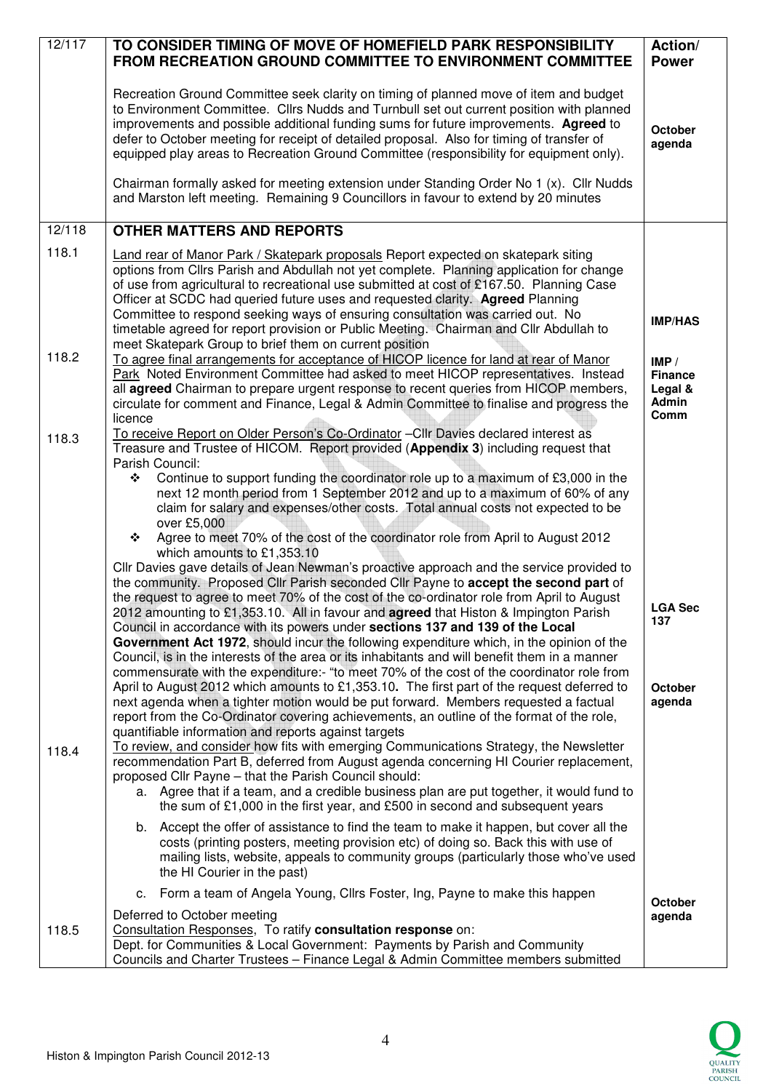| $\frac{1}{2}$ 117 | TO CONSIDER TIMING OF MOVE OF HOMEFIELD PARK RESPONSIBILITY<br><b>FROM RECREATION GROUND COMMITTEE TO ENVIRONMENT COMMITTEE</b>                                                                                                                                                                                                                                                                                                                                                                                                                                                                                                                                                                                                                                                                                                                                                                                                                                                                                                                                                                                                                                                                                                                                                                                                                                                                                                                                                                                                                                                                                                                                                                                                                                                                                                                                                                                                             | Action/<br><b>Power</b>                               |
|-------------------|---------------------------------------------------------------------------------------------------------------------------------------------------------------------------------------------------------------------------------------------------------------------------------------------------------------------------------------------------------------------------------------------------------------------------------------------------------------------------------------------------------------------------------------------------------------------------------------------------------------------------------------------------------------------------------------------------------------------------------------------------------------------------------------------------------------------------------------------------------------------------------------------------------------------------------------------------------------------------------------------------------------------------------------------------------------------------------------------------------------------------------------------------------------------------------------------------------------------------------------------------------------------------------------------------------------------------------------------------------------------------------------------------------------------------------------------------------------------------------------------------------------------------------------------------------------------------------------------------------------------------------------------------------------------------------------------------------------------------------------------------------------------------------------------------------------------------------------------------------------------------------------------------------------------------------------------|-------------------------------------------------------|
|                   | Recreation Ground Committee seek clarity on timing of planned move of item and budget<br>to Environment Committee. Cllrs Nudds and Turnbull set out current position with planned<br>improvements and possible additional funding sums for future improvements. Agreed to<br>defer to October meeting for receipt of detailed proposal. Also for timing of transfer of<br>equipped play areas to Recreation Ground Committee (responsibility for equipment only).                                                                                                                                                                                                                                                                                                                                                                                                                                                                                                                                                                                                                                                                                                                                                                                                                                                                                                                                                                                                                                                                                                                                                                                                                                                                                                                                                                                                                                                                           | October<br>agenda                                     |
|                   | Chairman formally asked for meeting extension under Standing Order No 1 (x). Cllr Nudds<br>and Marston left meeting. Remaining 9 Councillors in favour to extend by 20 minutes                                                                                                                                                                                                                                                                                                                                                                                                                                                                                                                                                                                                                                                                                                                                                                                                                                                                                                                                                                                                                                                                                                                                                                                                                                                                                                                                                                                                                                                                                                                                                                                                                                                                                                                                                              |                                                       |
| 12/118            | <b>OTHER MATTERS AND REPORTS</b>                                                                                                                                                                                                                                                                                                                                                                                                                                                                                                                                                                                                                                                                                                                                                                                                                                                                                                                                                                                                                                                                                                                                                                                                                                                                                                                                                                                                                                                                                                                                                                                                                                                                                                                                                                                                                                                                                                            |                                                       |
| 118.1             | Land rear of Manor Park / Skatepark proposals Report expected on skatepark siting<br>options from Cllrs Parish and Abdullah not yet complete. Planning application for change<br>of use from agricultural to recreational use submitted at cost of £167.50. Planning Case<br>Officer at SCDC had queried future uses and requested clarity. Agreed Planning<br>Committee to respond seeking ways of ensuring consultation was carried out. No<br>timetable agreed for report provision or Public Meeting. Chairman and Cllr Abdullah to                                                                                                                                                                                                                                                                                                                                                                                                                                                                                                                                                                                                                                                                                                                                                                                                                                                                                                                                                                                                                                                                                                                                                                                                                                                                                                                                                                                                     | <b>IMP/HAS</b>                                        |
| 118.2             | meet Skatepark Group to brief them on current position<br>To agree final arrangements for acceptance of HICOP licence for land at rear of Manor<br>Park Noted Environment Committee had asked to meet HICOP representatives. Instead<br>all agreed Chairman to prepare urgent response to recent queries from HICOP members,<br>circulate for comment and Finance, Legal & Admin Committee to finalise and progress the<br>licence                                                                                                                                                                                                                                                                                                                                                                                                                                                                                                                                                                                                                                                                                                                                                                                                                                                                                                                                                                                                                                                                                                                                                                                                                                                                                                                                                                                                                                                                                                          | IMP /<br><b>Finance</b><br>Legal &<br>Admin<br>Comm   |
| 118.3             | To receive Report on Older Person's Co-Ordinator - Cllr Davies declared interest as<br>Treasure and Trustee of HICOM. Report provided (Appendix 3) including request that<br>Parish Council:<br>Continue to support funding the coordinator role up to a maximum of £3,000 in the<br>❖<br>next 12 month period from 1 September 2012 and up to a maximum of 60% of any<br>claim for salary and expenses/other costs. Total annual costs not expected to be<br>over £5,000<br>Agree to meet 70% of the cost of the coordinator role from April to August 2012<br>❖                                                                                                                                                                                                                                                                                                                                                                                                                                                                                                                                                                                                                                                                                                                                                                                                                                                                                                                                                                                                                                                                                                                                                                                                                                                                                                                                                                           |                                                       |
| 118.4             | which amounts to £1,353.10<br>Cllr Davies gave details of Jean Newman's proactive approach and the service provided to<br>the community. Proposed Cllr Parish seconded Cllr Payne to accept the second part of<br>the request to agree to meet 70% of the cost of the co-ordinator role from April to August<br>2012 amounting to £1,353.10. All in favour and agreed that Histon & Impington Parish<br>Council in accordance with its powers under sections 137 and 139 of the Local<br>Government Act 1972, should incur the following expenditure which, in the opinion of the<br>Council, is in the interests of the area or its inhabitants and will benefit them in a manner<br>commensurate with the expenditure:- "to meet 70% of the cost of the coordinator role from<br>April to August 2012 which amounts to £1,353.10. The first part of the request deferred to<br>next agenda when a tighter motion would be put forward. Members requested a factual<br>report from the Co-Ordinator covering achievements, an outline of the format of the role,<br>quantifiable information and reports against targets<br>To review, and consider how fits with emerging Communications Strategy, the Newsletter<br>recommendation Part B, deferred from August agenda concerning HI Courier replacement,<br>proposed Cllr Payne - that the Parish Council should:<br>a. Agree that if a team, and a credible business plan are put together, it would fund to<br>the sum of £1,000 in the first year, and £500 in second and subsequent years<br>b. Accept the offer of assistance to find the team to make it happen, but cover all the<br>costs (printing posters, meeting provision etc) of doing so. Back this with use of<br>mailing lists, website, appeals to community groups (particularly those who've used<br>the HI Courier in the past)<br>Form a team of Angela Young, Cllrs Foster, Ing, Payne to make this happen<br>C. | <b>LGA Sec</b><br>137<br>October<br>agenda<br>October |
| 118.5             | Deferred to October meeting<br>Consultation Responses, To ratify consultation response on:<br>Dept. for Communities & Local Government: Payments by Parish and Community<br>Councils and Charter Trustees - Finance Legal & Admin Committee members submitted                                                                                                                                                                                                                                                                                                                                                                                                                                                                                                                                                                                                                                                                                                                                                                                                                                                                                                                                                                                                                                                                                                                                                                                                                                                                                                                                                                                                                                                                                                                                                                                                                                                                               | agenda                                                |